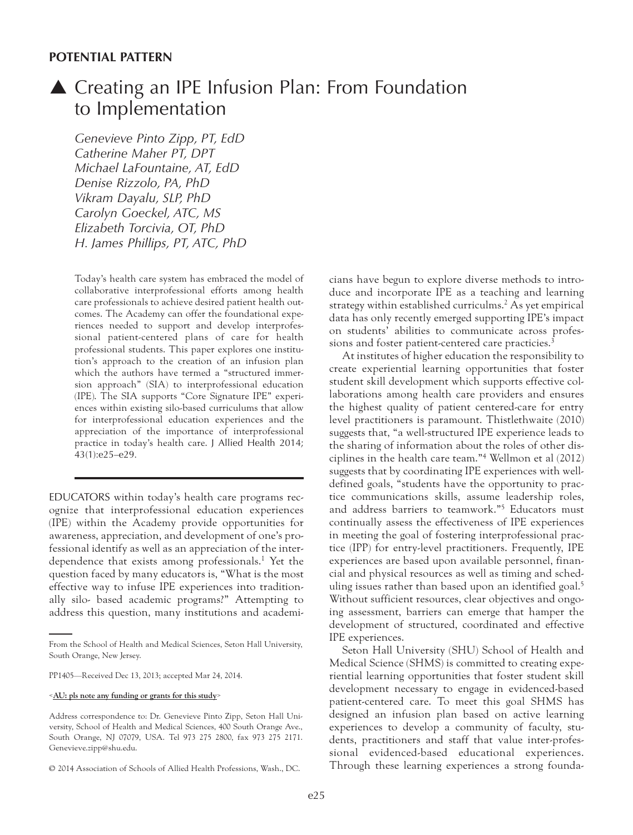### **POTENTIAL PATTERN**

# ▲ Creating an IPE Infusion Plan: From Foundation to Implementation

*Genevieve Pinto Zipp, PT, EdD Catherine Maher PT, DPT Michael LaFountaine, AT, EdD Denise Rizzolo, PA, PhD Vikram Dayalu, SLP, PhD Carolyn Goeckel, ATC, MS Elizabeth Torcivia, OT, PhD H. James Phillips, PT, ATC, PhD*

Today's health care system has embraced the model of collaborative interprofessional efforts among health care professionals to achieve desired patient health outcomes. The Academy can offer the foundational experiences needed to support and develop interprofessional patient-centered plans of care for health professional students. This paper explores one institution's approach to the creation of an infusion plan which the authors have termed a "structured immersion approach" (SIA) to interprofessional education (IPE). The SIA supports "Core Signature IPE" experiences within existing silo-based curriculums that allow for interprofessional education experiences and the appreciation of the importance of interprofessional practice in today's health care. J Allied Health 2014; 43(1):e25–e29.

EDUCATORS within today's health care programs recognize that interprofessional education experiences (IPE) within the Academy provide opportunities for awareness, appreciation, and development of one's professional identify as well as an appreciation of the interdependence that exists among professionals.<sup>1</sup> Yet the question faced by many educators is, "What is the most effective way to infuse IPE experiences into traditionally silo- based academic programs?" Attempting to address this question, many institutions and academicians have begun to explore diverse methods to introduce and incorporate IPE as a teaching and learning strategy within established curriculms.<sup>2</sup> As yet empirical data has only recently emerged supporting IPE's impact on students' abilities to communicate across professions and foster patient-centered care practicies.<sup>3</sup>

At institutes of higher education the responsibility to create experiential learning opportunities that foster student skill development which supports effective collaborations among health care providers and ensures the highest quality of patient centered-care for entry level practitioners is paramount. Thistlethwaite (2010) suggests that, "a well-structured IPE experience leads to the sharing of information about the roles of other disciplines in the health care team."4 Wellmon et al (2012) suggests that by coordinating IPE experiences with welldefined goals, "students have the opportunity to practice communications skills, assume leadership roles, and address barriers to teamwork."5 Educators must continually assess the effectiveness of IPE experiences in meeting the goal of fostering interprofessional practice (IPP) for entry-level practitioners. Frequently, IPE experiences are based upon available personnel, financial and physical resources as well as timing and scheduling issues rather than based upon an identified goal.<sup>5</sup> Without sufficient resources, clear objectives and ongoing assessment, barriers can emerge that hamper the development of structured, coordinated and effective IPE experiences.

Seton Hall University (SHU) School of Health and Medical Science (SHMS) is committed to creating experiential learning opportunities that foster student skill development necessary to engage in evidenced-based patient-centered care. To meet this goal SHMS has designed an infusion plan based on active learning experiences to develop a community of faculty, students, practitioners and staff that value inter-professional evidenced-based educational experiences. Through these learning experiences a strong founda-

From the School of Health and Medical Sciences, Seton Hall University, South Orange, New Jersey.

PP1405—Received Dec 13, 2013; accepted Mar 24, 2014.

<sup>&</sup>lt;**AU: pls note any funding or grants for this study**>

Address correspondence to: Dr. Genevieve Pinto Zipp, Seton Hall University, School of Health and Medical Sciences, 400 South Orange Ave., South Orange, NJ 07079, USA. Tel 973 275 2800, fax 973 275 2171. Genevieve.zipp@shu.edu.

<sup>© 2014</sup> Association of Schools of Allied Health Professions, Wash., DC.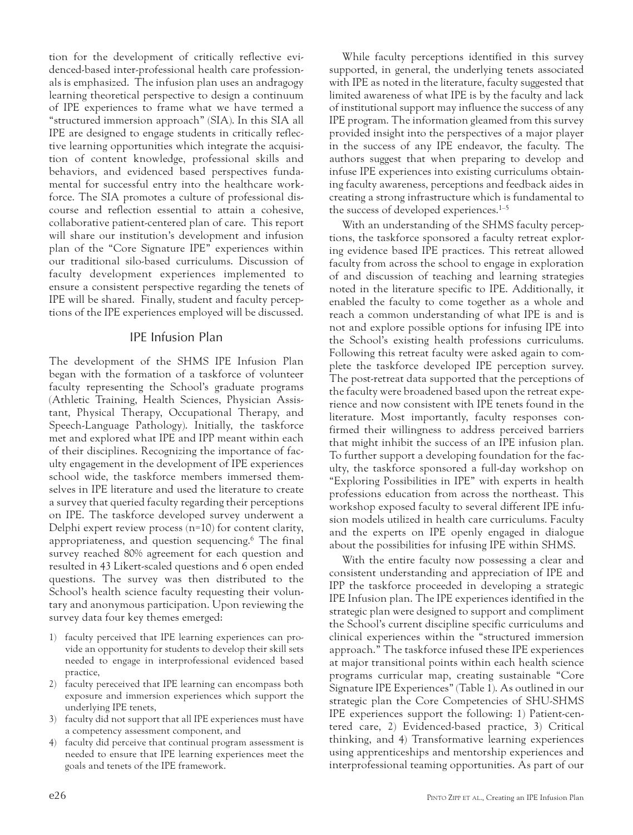tion for the development of critically reflective evidenced-based inter-professional health care professionals is emphasized. The infusion plan uses an andragogy learning theoretical perspective to design a continuum of IPE experiences to frame what we have termed a "structured immersion approach" (SIA). In this SIA all IPE are designed to engage students in critically reflective learning opportunities which integrate the acquisition of content knowledge, professional skills and behaviors, and evidenced based perspectives fundamental for successful entry into the healthcare workforce. The SIA promotes a culture of professional discourse and reflection essential to attain a cohesive, collaborative patient-centered plan of care. This report will share our institution's development and infusion plan of the "Core Signature IPE" experiences within our traditional silo-based curriculums. Discussion of faculty development experiences implemented to ensure a consistent perspective regarding the tenets of IPE will be shared. Finally, student and faculty perceptions of the IPE experiences employed will be discussed.

## IPE Infusion Plan

The development of the SHMS IPE Infusion Plan began with the formation of a taskforce of volunteer faculty representing the School's graduate programs (Athletic Training, Health Sciences, Physician Assistant, Physical Therapy, Occupational Therapy, and Speech-Language Pathology). Initially, the taskforce met and explored what IPE and IPP meant within each of their disciplines. Recognizing the importance of faculty engagement in the development of IPE experiences school wide, the taskforce members immersed themselves in IPE literature and used the literature to create a survey that queried faculty regarding their perceptions on IPE. The taskforce developed survey underwent a Delphi expert review process (n=10) for content clarity, appropriateness, and question sequencing.6 The final survey reached 80% agreement for each question and resulted in 43 Likert-scaled questions and 6 open ended questions. The survey was then distributed to the School's health science faculty requesting their voluntary and anonymous participation. Upon reviewing the survey data four key themes emerged:

- 1) faculty perceived that IPE learning experiences can provide an opportunity for students to develop their skill sets needed to engage in interprofessional evidenced based practice,
- 2) faculty pereceived that IPE learning can encompass both exposure and immersion experiences which support the underlying IPE tenets,
- 3) faculty did not support that all IPE experiences must have a competency assessment component, and
- faculty did perceive that continual program assessment is needed to ensure that IPE learning experiences meet the goals and tenets of the IPE framework.

While faculty perceptions identified in this survey supported, in general, the underlying tenets associated with IPE as noted in the literature, faculty suggested that limited awareness of what IPE is by the faculty and lack of institutional support may influence the success of any IPE program. The information gleamed from this survey provided insight into the perspectives of a major player in the success of any IPE endeavor, the faculty. The authors suggest that when preparing to develop and infuse IPE experiences into existing curriculums obtaining faculty awareness, perceptions and feedback aides in creating a strong infrastructure which is fundamental to the success of developed experiences.<sup>1–5</sup>

With an understanding of the SHMS faculty perceptions, the taskforce sponsored a faculty retreat exploring evidence based IPE practices. This retreat allowed faculty from across the school to engage in exploration of and discussion of teaching and learning strategies noted in the literature specific to IPE. Additionally, it enabled the faculty to come together as a whole and reach a common understanding of what IPE is and is not and explore possible options for infusing IPE into the School's existing health professions curriculums. Following this retreat faculty were asked again to complete the taskforce developed IPE perception survey. The post-retreat data supported that the perceptions of the faculty were broadened based upon the retreat experience and now consistent with IPE tenets found in the literature. Most importantly, faculty responses confirmed their willingness to address perceived barriers that might inhibit the success of an IPE infusion plan. To further support a developing foundation for the faculty, the taskforce sponsored a full-day workshop on "Exploring Possibilities in IPE" with experts in health professions education from across the northeast. This workshop exposed faculty to several different IPE infusion models utilized in health care curriculums. Faculty and the experts on IPE openly engaged in dialogue about the possibilities for infusing IPE within SHMS.

With the entire faculty now possessing a clear and consistent understanding and appreciation of IPE and IPP the taskforce proceeded in developing a strategic IPE Infusion plan. The IPE experiences identified in the strategic plan were designed to support and compliment the School's current discipline specific curriculums and clinical experiences within the "structured immersion approach." The taskforce infused these IPE experiences at major transitional points within each health science programs curricular map, creating sustainable "Core Signature IPE Experiences" (Table 1). As outlined in our strategic plan the Core Competencies of SHU-SHMS IPE experiences support the following: 1) Patient-centered care, 2) Evidenced-based practice, 3) Critical thinking, and 4) Transformative learning experiences using apprenticeships and mentorship experiences and interprofessional teaming opportunities. As part of our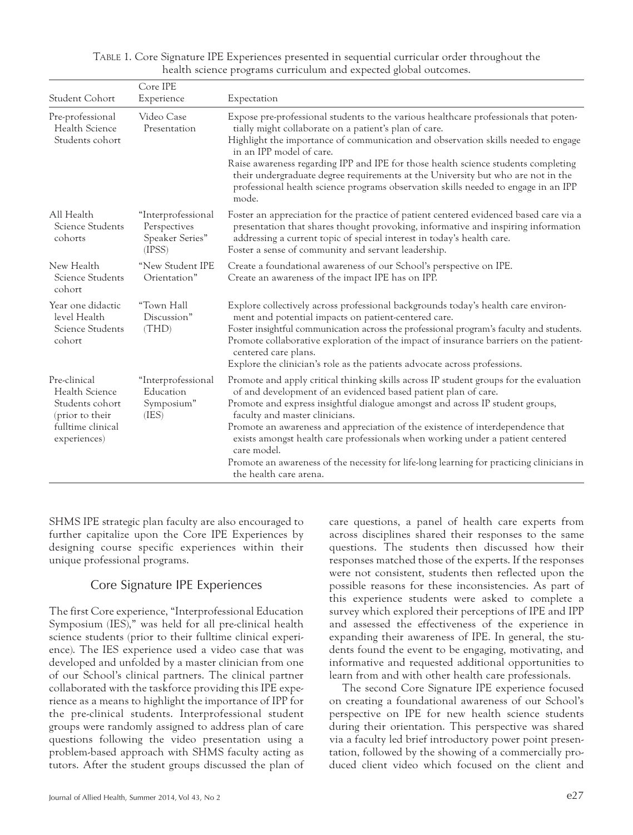| Student Cohort                                                                                            | Core IPE<br>Experience                                          | Expectation                                                                                                                                                                                                                                                                                                                                                                                                                                                                                                                                                                           |
|-----------------------------------------------------------------------------------------------------------|-----------------------------------------------------------------|---------------------------------------------------------------------------------------------------------------------------------------------------------------------------------------------------------------------------------------------------------------------------------------------------------------------------------------------------------------------------------------------------------------------------------------------------------------------------------------------------------------------------------------------------------------------------------------|
| Pre-professional<br>Health Science<br>Students cohort                                                     | Video Case<br>Presentation                                      | Expose pre-professional students to the various healthcare professionals that poten-<br>tially might collaborate on a patient's plan of care.<br>Highlight the importance of communication and observation skills needed to engage<br>in an IPP model of care.<br>Raise awareness regarding IPP and IPE for those health science students completing<br>their undergraduate degree requirements at the University but who are not in the<br>professional health science programs observation skills needed to engage in an IPP<br>mode.                                               |
| All Health<br>Science Students<br>cohorts                                                                 | "Interprofessional<br>Perspectives<br>Speaker Series"<br>(IPSS) | Foster an appreciation for the practice of patient centered evidenced based care via a<br>presentation that shares thought provoking, informative and inspiring information<br>addressing a current topic of special interest in today's health care.<br>Foster a sense of community and servant leadership.                                                                                                                                                                                                                                                                          |
| New Health<br>Science Students<br>cohort                                                                  | "New Student IPE<br>Orientation"                                | Create a foundational awareness of our School's perspective on IPE.<br>Create an awareness of the impact IPE has on IPP.                                                                                                                                                                                                                                                                                                                                                                                                                                                              |
| Year one didactic<br>level Health<br>Science Students<br>cohort                                           | "Town Hall<br>Discussion"<br>(THD)                              | Explore collectively across professional backgrounds today's health care environ-<br>ment and potential impacts on patient-centered care.<br>Foster insightful communication across the professional program's faculty and students.<br>Promote collaborative exploration of the impact of insurance barriers on the patient-<br>centered care plans.<br>Explore the clinician's role as the patients advocate across professions.                                                                                                                                                    |
| Pre-clinical<br>Health Science<br>Students cohort<br>(prior to their<br>fulltime clinical<br>experiences) | "Interprofessional<br>Education<br>Symposium"<br>(IES)          | Promote and apply critical thinking skills across IP student groups for the evaluation<br>of and development of an evidenced based patient plan of care.<br>Promote and express insightful dialogue amongst and across IP student groups,<br>faculty and master clinicians.<br>Promote an awareness and appreciation of the existence of interdependence that<br>exists amongst health care professionals when working under a patient centered<br>care model.<br>Promote an awareness of the necessity for life-long learning for practicing clinicians in<br>the health care arena. |

#### TABLE 1. Core Signature IPE Experiences presented in sequential curricular order throughout the health science programs curriculum and expected global outcomes.

SHMS IPE strategic plan faculty are also encouraged to further capitalize upon the Core IPE Experiences by designing course specific experiences within their unique professional programs.

## Core Signature IPE Experiences

The first Core experience, "Interprofessional Education Symposium (IES)," was held for all pre-clinical health science students (prior to their fulltime clinical experience). The IES experience used a video case that was developed and unfolded by a master clinician from one of our School's clinical partners. The clinical partner collaborated with the taskforce providing this IPE experience as a means to highlight the importance of IPP for the pre-clinical students. Interprofessional student groups were randomly assigned to address plan of care questions following the video presentation using a problem-based approach with SHMS faculty acting as tutors. After the student groups discussed the plan of care questions, a panel of health care experts from across disciplines shared their responses to the same questions. The students then discussed how their responses matched those of the experts. If the responses were not consistent, students then reflected upon the possible reasons for these inconsistencies. As part of this experience students were asked to complete a survey which explored their perceptions of IPE and IPP and assessed the effectiveness of the experience in expanding their awareness of IPE. In general, the students found the event to be engaging, motivating, and informative and requested additional opportunities to learn from and with other health care professionals.

The second Core Signature IPE experience focused on creating a foundational awareness of our School's perspective on IPE for new health science students during their orientation. This perspective was shared via a faculty led brief introductory power point presentation, followed by the showing of a commercially produced client video which focused on the client and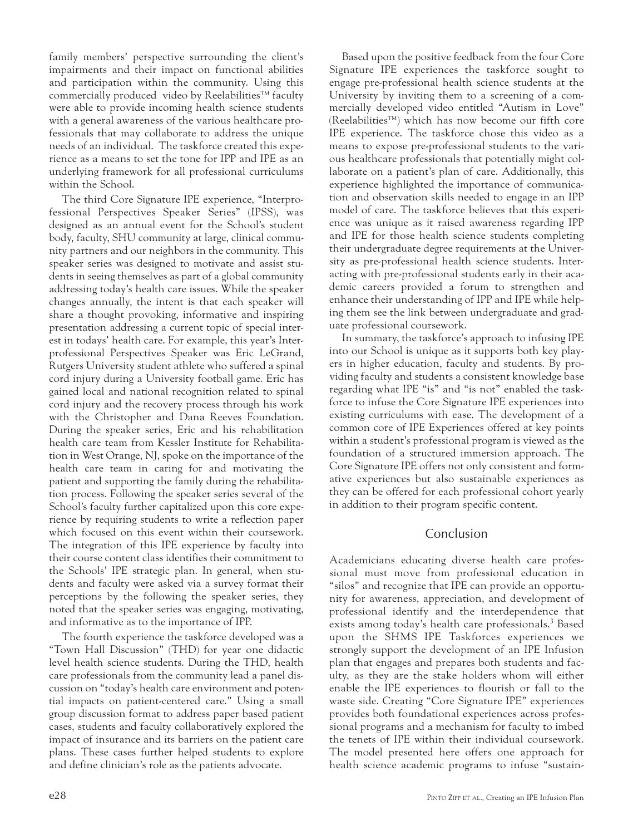family members' perspective surrounding the client's impairments and their impact on functional abilities and participation within the community. Using this commercially produced video by Reelabilities™ faculty were able to provide incoming health science students with a general awareness of the various healthcare professionals that may collaborate to address the unique needs of an individual. The taskforce created this experience as a means to set the tone for IPP and IPE as an underlying framework for all professional curriculums within the School.

The third Core Signature IPE experience, "Interprofessional Perspectives Speaker Series" (IPSS), was designed as an annual event for the School's student body, faculty, SHU community at large, clinical community partners and our neighbors in the community. This speaker series was designed to motivate and assist students in seeing themselves as part of a global community addressing today's health care issues. While the speaker changes annually, the intent is that each speaker will share a thought provoking, informative and inspiring presentation addressing a current topic of special interest in todays' health care. For example, this year's Interprofessional Perspectives Speaker was Eric LeGrand, Rutgers University student athlete who suffered a spinal cord injury during a University football game. Eric has gained local and national recognition related to spinal cord injury and the recovery process through his work with the Christopher and Dana Reeves Foundation. During the speaker series, Eric and his rehabilitation health care team from Kessler Institute for Rehabilitation in West Orange, NJ, spoke on the importance of the health care team in caring for and motivating the patient and supporting the family during the rehabilitation process. Following the speaker series several of the School's faculty further capitalized upon this core experience by requiring students to write a reflection paper which focused on this event within their coursework. The integration of this IPE experience by faculty into their course content class identifies their commitment to the Schools' IPE strategic plan. In general, when students and faculty were asked via a survey format their perceptions by the following the speaker series, they noted that the speaker series was engaging, motivating, and informative as to the importance of IPP.

The fourth experience the taskforce developed was a "Town Hall Discussion" (THD) for year one didactic level health science students. During the THD, health care professionals from the community lead a panel discussion on "today's health care environment and potential impacts on patient-centered care." Using a small group discussion format to address paper based patient cases, students and faculty collaboratively explored the impact of insurance and its barriers on the patient care plans. These cases further helped students to explore and define clinician's role as the patients advocate.

Based upon the positive feedback from the four Core Signature IPE experiences the taskforce sought to engage pre-professional health science students at the University by inviting them to a screening of a commercially developed video entitled "Autism in Love" (Reelabilities™) which has now become our fifth core IPE experience. The taskforce chose this video as a means to expose pre-professional students to the various healthcare professionals that potentially might collaborate on a patient's plan of care. Additionally, this experience highlighted the importance of communication and observation skills needed to engage in an IPP model of care. The taskforce believes that this experience was unique as it raised awareness regarding IPP and IPE for those health science students completing their undergraduate degree requirements at the University as pre-professional health science students. Interacting with pre-professional students early in their academic careers provided a forum to strengthen and enhance their understanding of IPP and IPE while helping them see the link between undergraduate and graduate professional coursework.

In summary, the taskforce's approach to infusing IPE into our School is unique as it supports both key players in higher education, faculty and students. By providing faculty and students a consistent knowledge base regarding what IPE "is" and "is not" enabled the taskforce to infuse the Core Signature IPE experiences into existing curriculums with ease. The development of a common core of IPE Experiences offered at key points within a student's professional program is viewed as the foundation of a structured immersion approach. The Core Signature IPE offers not only consistent and formative experiences but also sustainable experiences as they can be offered for each professional cohort yearly in addition to their program specific content.

## Conclusion

Academicians educating diverse health care professional must move from professional education in "silos" and recognize that IPE can provide an opportunity for awareness, appreciation, and development of professional identify and the interdependence that exists among today's health care professionals.<sup>3</sup> Based upon the SHMS IPE Taskforces experiences we strongly support the development of an IPE Infusion plan that engages and prepares both students and faculty, as they are the stake holders whom will either enable the IPE experiences to flourish or fall to the waste side. Creating "Core Signature IPE" experiences provides both foundational experiences across professional programs and a mechanism for faculty to imbed the tenets of IPE within their individual coursework. The model presented here offers one approach for health science academic programs to infuse "sustain